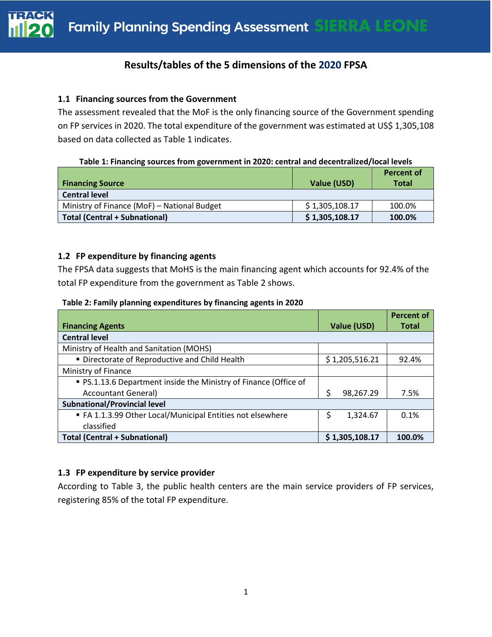

## **Results/tables of the 5 dimensions of the 2020 FPSA**

## **1.1 Financing sources from the Government**

The assessment revealed that the MoF is the only financing source of the Government spending on FP services in 2020. The total expenditure of the government was estimated at US\$ 1,305,108 based on data collected as Table 1 indicates.

**Table 1: Financing sources from government in 2020: central and decentralized/local levels**

| <b>Financing Source</b>                     | Value (USD)    | <b>Percent of</b><br><b>Total</b> |
|---------------------------------------------|----------------|-----------------------------------|
| <b>Central level</b>                        |                |                                   |
| Ministry of Finance (MoF) - National Budget | \$1,305,108.17 | 100.0%                            |
| <b>Total (Central + Subnational)</b>        | \$1,305,108.17 | 100.0%                            |

## **1.2 FP expenditure by financing agents**

The FPSA data suggests that MoHS is the main financing agent which accounts for 92.4% of the total FP expenditure from the government as Table 2 shows.

|                                                                  |                | <b>Percent of</b> |
|------------------------------------------------------------------|----------------|-------------------|
| <b>Financing Agents</b>                                          | Value (USD)    | <b>Total</b>      |
| <b>Central level</b>                                             |                |                   |
| Ministry of Health and Sanitation (MOHS)                         |                |                   |
| " Directorate of Reproductive and Child Health                   | \$1,205,516.21 | 92.4%             |
| Ministry of Finance                                              |                |                   |
| • PS.1.13.6 Department inside the Ministry of Finance (Office of |                |                   |
| <b>Accountant General)</b>                                       | Ś<br>98,267.29 | 7.5%              |
| <b>Subnational/Provincial level</b>                              |                |                   |
| FA 1.1.3.99 Other Local/Municipal Entities not elsewhere         | \$<br>1,324.67 | 0.1%              |
| classified                                                       |                |                   |
| <b>Total (Central + Subnational)</b>                             | \$1,305,108.17 | 100.0%            |

## **1.3 FP expenditure by service provider**

According to Table 3, the public health centers are the main service providers of FP services, registering 85% of the total FP expenditure.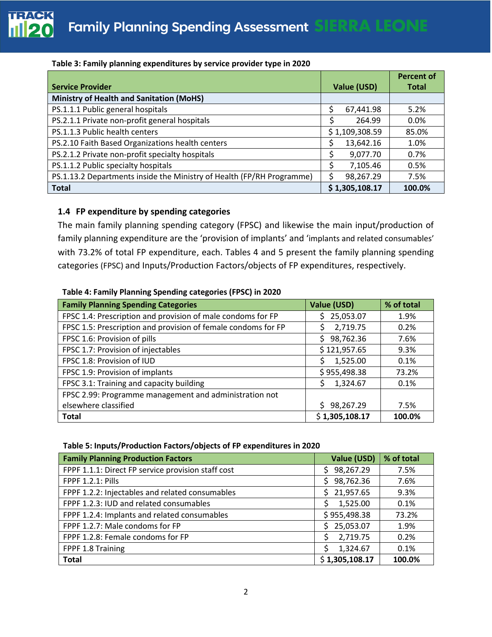|                                                                       |    |                | <b>Percent of</b> |
|-----------------------------------------------------------------------|----|----------------|-------------------|
| <b>Service Provider</b>                                               |    | Value (USD)    | <b>Total</b>      |
| <b>Ministry of Health and Sanitation (MoHS)</b>                       |    |                |                   |
| PS.1.1.1 Public general hospitals                                     | Ś  | 67,441.98      | 5.2%              |
| PS.2.1.1 Private non-profit general hospitals                         |    | 264.99         | $0.0\%$           |
| PS.1.1.3 Public health centers                                        |    | \$1,109,308.59 | 85.0%             |
| PS.2.10 Faith Based Organizations health centers                      | Ś  | 13,642.16      | 1.0%              |
| PS.2.1.2 Private non-profit specialty hospitals                       | Ś  | 9,077.70       | 0.7%              |
| PS.1.1.2 Public specialty hospitals                                   | \$ | 7,105.46       | 0.5%              |
| PS.1.13.2 Departments inside the Ministry of Health (FP/RH Programme) |    | 98,267.29      | 7.5%              |
| <b>Total</b>                                                          |    | \$1,305,108.17 | 100.0%            |

## **Table 3: Family planning expenditures by service provider type in 2020**

## **1.4 FP expenditure by spending categories**

The main family planning spending category (FPSC) and likewise the main input/production of family planning expenditure are the 'provision of implants' and 'implants and related consumables' with 73.2% of total FP expenditure, each. Tables 4 and 5 present the family planning spending categories (FPSC) and Inputs/Production Factors/objects of FP expenditures, respectively.

#### **Table 4: Family Planning Spending categories (FPSC) in 2020**

| <b>Family Planning Spending Categories</b>                    | Value (USD)     | % of total |
|---------------------------------------------------------------|-----------------|------------|
| FPSC 1.4: Prescription and provision of male condoms for FP   | 25,053.07<br>Ś  | 1.9%       |
| FPSC 1.5: Prescription and provision of female condoms for FP | 2,719.75<br>Ś   | 0.2%       |
| FPSC 1.6: Provision of pills                                  | 98,762.36<br>S. | 7.6%       |
| FPSC 1.7: Provision of injectables                            | \$121,957.65    | 9.3%       |
| FPSC 1.8: Provision of IUD                                    | 1,525.00        | 0.1%       |
| FPSC 1.9: Provision of implants                               | \$955,498.38    | 73.2%      |
| FPSC 3.1: Training and capacity building                      | 1,324.67<br>S.  | 0.1%       |
| FPSC 2.99: Programme management and administration not        |                 |            |
| elsewhere classified                                          | 98,267.29<br>S. | 7.5%       |
| <b>Total</b>                                                  | \$1,305,108.17  | 100.0%     |

#### **Table 5: Inputs/Production Factors/objects of FP expenditures in 2020**

| <b>Family Planning Production Factors</b>          | Value (USD)      | % of total |
|----------------------------------------------------|------------------|------------|
| FPPF 1.1.1: Direct FP service provision staff cost | 98,267.29<br>S   | 7.5%       |
| <b>FPPF 1.2.1: Pills</b>                           | 98,762.36<br>Ś   | 7.6%       |
| FPPF 1.2.2: Injectables and related consumables    | 21,957.65<br>\$. | 9.3%       |
| FPPF 1.2.3: IUD and related consumables            | 1,525.00<br>Ś    | 0.1%       |
| FPPF 1.2.4: Implants and related consumables       | \$955,498.38     | 73.2%      |
| FPPF 1.2.7: Male condoms for FP                    | 25,053.07<br>Ś.  | 1.9%       |
| FPPF 1.2.8: Female condoms for FP                  | 2,719.75         | 0.2%       |
| FPPF 1.8 Training                                  | 1,324.67         | 0.1%       |
| <b>Total</b>                                       | \$1,305,108.17   | 100.0%     |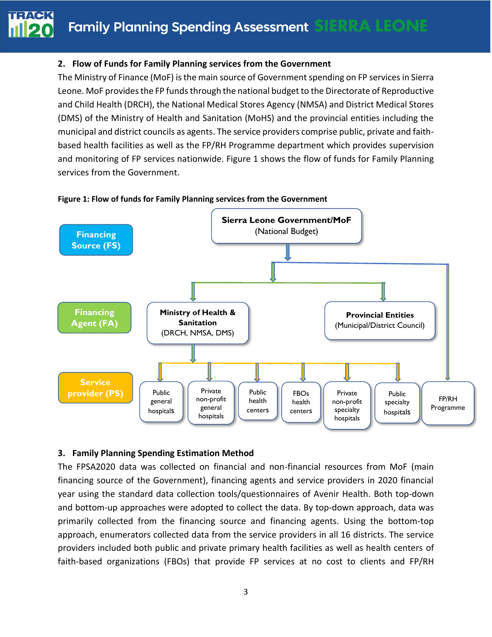

## **2. Flow of Funds for Family Planning services from the Government**

The Ministry of Finance (MoF) is the main source of Government spending on FP services in Sierra Leone. MoF provides the FP funds through the national budget to the Directorate of Reproductive and Child Health (DRCH), the National Medical Stores Agency (NMSA) and District Medical Stores (DMS) of the Ministry of Health and Sanitation (MoHS) and the provincial entities including the municipal and district councils as agents. The service providers comprise public, private and faithbased health facilities as well as the FP/RH Programme department which provides supervision and monitoring of FP services nationwide. Figure 1 shows the flow of funds for Family Planning services from the Government.



#### **Figure 1: Flow of funds for Family Planning services from the Government**

## **3. Family Planning Spending Estimation Method**

The FPSA2020 data was collected on financial and non-financial resources from MoF (main financing source of the Government), financing agents and service providers in 2020 financial year using the standard data collection tools/questionnaires of Avenir Health. Both top-down and bottom-up approaches were adopted to collect the data. By top-down approach, data was primarily collected from the financing source and financing agents. Using the bottom-top approach, enumerators collected data from the service providers in all 16 districts. The service providers included both public and private primary health facilities as well as health centers of faith-based organizations (FBOs) that provide FP services at no cost to clients and FP/RH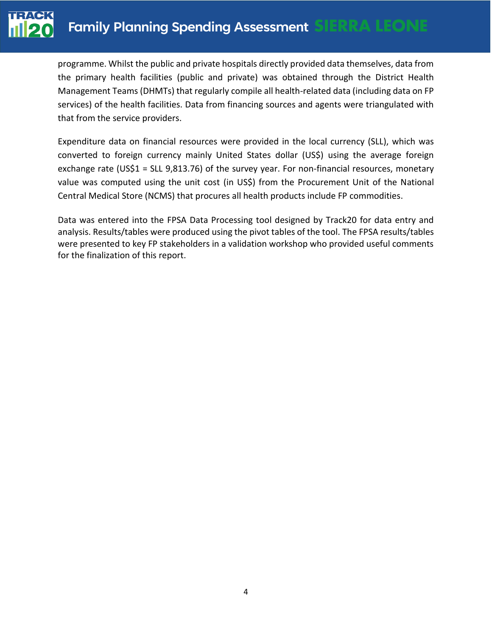

programme. Whilst the public and private hospitals directly provided data themselves, data from the primary health facilities (public and private) was obtained through the District Health Management Teams (DHMTs) that regularly compile all health-related data (including data on FP services) of the health facilities. Data from financing sources and agents were triangulated with that from the service providers.

Expenditure data on financial resources were provided in the local currency (SLL), which was converted to foreign currency mainly United States dollar (US\$) using the average foreign exchange rate (US\$1 = SLL 9,813.76) of the survey year. For non-financial resources, monetary value was computed using the unit cost (in US\$) from the Procurement Unit of the National Central Medical Store (NCMS) that procures all health products include FP commodities.

Data was entered into the FPSA Data Processing tool designed by Track20 for data entry and analysis. Results/tables were produced using the pivot tables of the tool. The FPSA results/tables were presented to key FP stakeholders in a validation workshop who provided useful comments for the finalization of this report.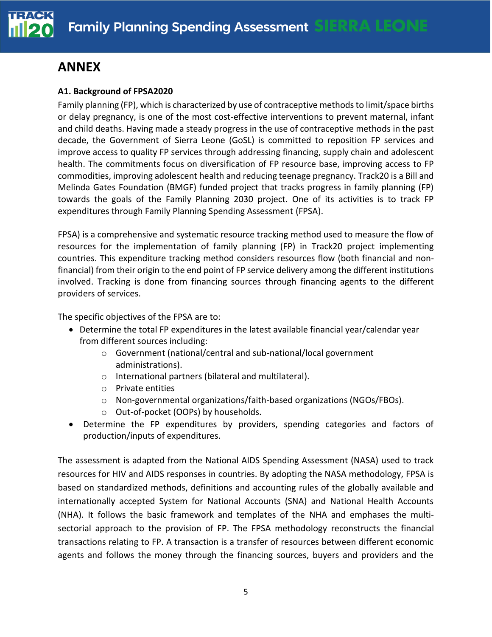

## **ANNEX**

## **A1. Background of FPSA2020**

Family planning (FP), which is characterized by use of contraceptive methods to limit/space births or delay pregnancy, is one of the most cost-effective interventions to prevent maternal, infant and child deaths. Having made a steady progress in the use of contraceptive methods in the past decade, the Government of Sierra Leone (GoSL) is committed to reposition FP services and improve access to quality FP services through addressing financing, supply chain and adolescent health. The commitments focus on diversification of FP resource base, improving access to FP commodities, improving adolescent health and reducing teenage pregnancy. Track20 is a Bill and Melinda Gates Foundation (BMGF) funded project that tracks progress in family planning (FP) towards the goals of the Family Planning 2030 project. One of its activities is to track FP expenditures through Family Planning Spending Assessment (FPSA).

FPSA) is a comprehensive and systematic resource tracking method used to measure the flow of resources for the implementation of family planning (FP) in Track20 project implementing countries. This expenditure tracking method considers resources flow (both financial and nonfinancial) from their origin to the end point of FP service delivery among the different institutions involved. Tracking is done from financing sources through financing agents to the different providers of services.

The specific objectives of the FPSA are to:

- Determine the total FP expenditures in the latest available financial year/calendar year from different sources including:
	- o Government (national/central and sub-national/local government administrations).
	- o International partners (bilateral and multilateral).
	- o Private entities
	- o Non-governmental organizations/faith-based organizations (NGOs/FBOs).
	- o Out-of-pocket (OOPs) by households.
- Determine the FP expenditures by providers, spending categories and factors of production/inputs of expenditures.

The assessment is adapted from the National AIDS Spending Assessment (NASA) used to track resources for HIV and AIDS responses in countries. By adopting the NASA methodology, FPSA is based on standardized methods, definitions and accounting rules of the globally available and internationally accepted System for National Accounts (SNA) and National Health Accounts (NHA). It follows the basic framework and templates of the NHA and emphases the multisectorial approach to the provision of FP. The FPSA methodology reconstructs the financial transactions relating to FP. A transaction is a transfer of resources between different economic agents and follows the money through the financing sources, buyers and providers and the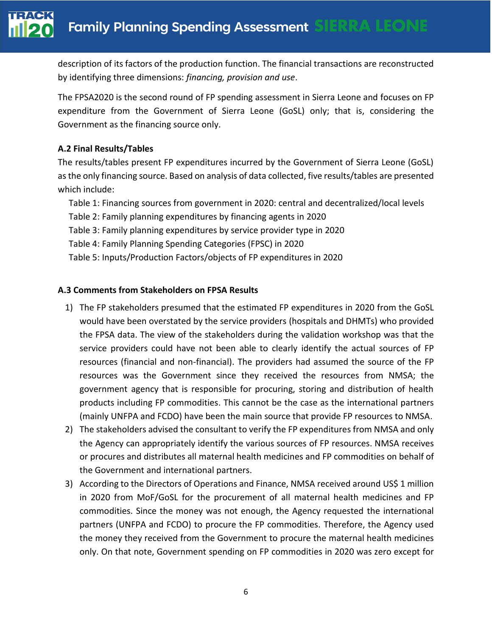description of its factors of the production function. The financial transactions are reconstructed by identifying three dimensions: *financing, provision and use*.

The FPSA2020 is the second round of FP spending assessment in Sierra Leone and focuses on FP expenditure from the Government of Sierra Leone (GoSL) only; that is, considering the Government as the financing source only.

## **A.2 Final Results/Tables**

The results/tables present FP expenditures incurred by the Government of Sierra Leone (GoSL) as the only financing source. Based on analysis of data collected, five results/tables are presented which include:

- Table 1: Financing sources from government in 2020: central and decentralized/local levels
- Table 2: Family planning expenditures by financing agents in 2020
- Table 3: Family planning expenditures by service provider type in 2020
- Table 4: Family Planning Spending Categories (FPSC) in 2020
- Table 5: Inputs/Production Factors/objects of FP expenditures in 2020

## **A.3 Comments from Stakeholders on FPSA Results**

- 1) The FP stakeholders presumed that the estimated FP expenditures in 2020 from the GoSL would have been overstated by the service providers (hospitals and DHMTs) who provided the FPSA data. The view of the stakeholders during the validation workshop was that the service providers could have not been able to clearly identify the actual sources of FP resources (financial and non-financial). The providers had assumed the source of the FP resources was the Government since they received the resources from NMSA; the government agency that is responsible for procuring, storing and distribution of health products including FP commodities. This cannot be the case as the international partners (mainly UNFPA and FCDO) have been the main source that provide FP resources to NMSA.
- 2) The stakeholders advised the consultant to verify the FP expenditures from NMSA and only the Agency can appropriately identify the various sources of FP resources. NMSA receives or procures and distributes all maternal health medicines and FP commodities on behalf of the Government and international partners.
- 3) According to the Directors of Operations and Finance, NMSA received around US\$ 1 million in 2020 from MoF/GoSL for the procurement of all maternal health medicines and FP commodities. Since the money was not enough, the Agency requested the international partners (UNFPA and FCDO) to procure the FP commodities. Therefore, the Agency used the money they received from the Government to procure the maternal health medicines only. On that note, Government spending on FP commodities in 2020 was zero except for